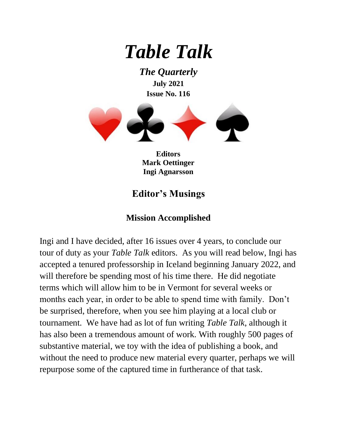

*The Quarterly* **July 2021 Issue No. 116**



**Editors Mark Oettinger Ingi Agnarsson**

## **Editor's Musings**

### **Mission Accomplished**

Ingi and I have decided, after 16 issues over 4 years, to conclude our tour of duty as your *Table Talk* editors. As you will read below, Ingi has accepted a tenured professorship in Iceland beginning January 2022, and will therefore be spending most of his time there. He did negotiate terms which will allow him to be in Vermont for several weeks or months each year, in order to be able to spend time with family. Don't be surprised, therefore, when you see him playing at a local club or tournament. We have had as lot of fun writing *Table Talk*, although it has also been a tremendous amount of work. With roughly 500 pages of substantive material, we toy with the idea of publishing a book, and without the need to produce new material every quarter, perhaps we will repurpose some of the captured time in furtherance of that task.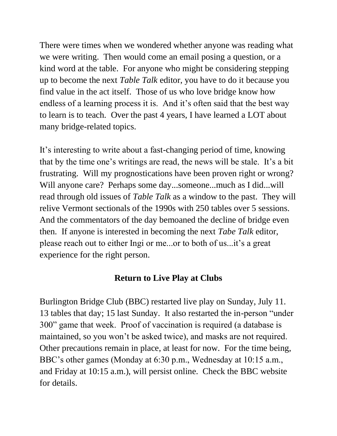There were times when we wondered whether anyone was reading what we were writing. Then would come an email posing a question, or a kind word at the table. For anyone who might be considering stepping up to become the next *Table Talk* editor, you have to do it because you find value in the act itself. Those of us who love bridge know how endless of a learning process it is. And it's often said that the best way to learn is to teach. Over the past 4 years, I have learned a LOT about many bridge-related topics.

It's interesting to write about a fast-changing period of time, knowing that by the time one's writings are read, the news will be stale. It's a bit frustrating. Will my prognostications have been proven right or wrong? Will anyone care? Perhaps some day...someone...much as I did...will read through old issues of *Table Talk* as a window to the past. They will relive Vermont sectionals of the 1990s with 250 tables over 5 sessions. And the commentators of the day bemoaned the decline of bridge even then. If anyone is interested in becoming the next *Tabe Talk* editor, please reach out to either Ingi or me...or to both of us...it's a great experience for the right person.

### **Return to Live Play at Clubs**

Burlington Bridge Club (BBC) restarted live play on Sunday, July 11. 13 tables that day; 15 last Sunday. It also restarted the in-person "under 300" game that week. Proof of vaccination is required (a database is maintained, so you won't be asked twice), and masks are not required. Other precautions remain in place, at least for now. For the time being, BBC's other games (Monday at 6:30 p.m., Wednesday at 10:15 a.m., and Friday at 10:15 a.m.), will persist online. Check the BBC website for details.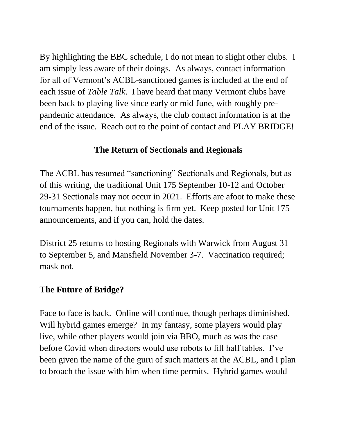By highlighting the BBC schedule, I do not mean to slight other clubs. I am simply less aware of their doings. As always, contact information for all of Vermont's ACBL-sanctioned games is included at the end of each issue of *Table Talk*. I have heard that many Vermont clubs have been back to playing live since early or mid June, with roughly prepandemic attendance. As always, the club contact information is at the end of the issue. Reach out to the point of contact and PLAY BRIDGE!

### **The Return of Sectionals and Regionals**

The ACBL has resumed "sanctioning" Sectionals and Regionals, but as of this writing, the traditional Unit 175 September 10-12 and October 29-31 Sectionals may not occur in 2021. Efforts are afoot to make these tournaments happen, but nothing is firm yet. Keep posted for Unit 175 announcements, and if you can, hold the dates.

District 25 returns to hosting Regionals with Warwick from August 31 to September 5, and Mansfield November 3-7. Vaccination required; mask not.

### **The Future of Bridge?**

Face to face is back. Online will continue, though perhaps diminished. Will hybrid games emerge? In my fantasy, some players would play live, while other players would join via BBO, much as was the case before Covid when directors would use robots to fill half tables. I've been given the name of the guru of such matters at the ACBL, and I plan to broach the issue with him when time permits. Hybrid games would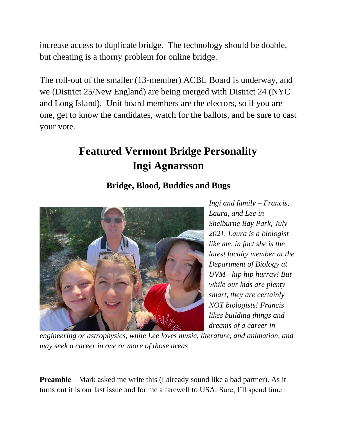increase access to duplicate bridge. The technology should be doable, but cheating is a thorny problem for online bridge.

The roll-out of the smaller (13-member) ACBL Board is underway, and we (District 25/New England) are being merged with District 24 (NYC and Long Island). Unit board members are the electors, so if you are one, get to know the candidates, watch for the ballots, and be sure to cast your vote.

# **Featured Vermont Bridge Personality Ingi Agnarsson**

## **Bridge, Blood, Buddies and Bugs**



*Ingi and family – Francis, Laura, and Lee in Shelburne Bay Park, July 2021. Laura is a biologist like me, in fact she is the latest faculty member at the Department of Biology at UVM - hip hip hurray! But while our kids are plenty smart, they are certainly NOT biologists! Francis likes building things and dreams of a career in* 

*engineering or astrophysics, while Lee loves music, literature, and animation, and may seek a career in one or more of those areas*

**Preamble** – Mark asked me write this (I already sound like a bad partner). As it turns out it is our last issue and for me a farewell to USA. Sure, I'll spend time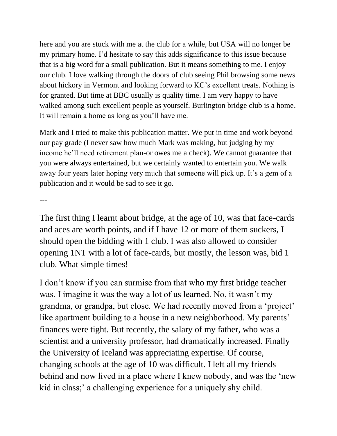here and you are stuck with me at the club for a while, but USA will no longer be my primary home. I'd hesitate to say this adds significance to this issue because that is a big word for a small publication. But it means something to me. I enjoy our club. I love walking through the doors of club seeing Phil browsing some news about hickory in Vermont and looking forward to KC's excellent treats. Nothing is for granted. But time at BBC usually is quality time. I am very happy to have walked among such excellent people as yourself. Burlington bridge club is a home. It will remain a home as long as you'll have me.

Mark and I tried to make this publication matter. We put in time and work beyond our pay grade (I never saw how much Mark was making, but judging by my income he'll need retirement plan-or owes me a check). We cannot guarantee that you were always entertained, but we certainly wanted to entertain you. We walk away four years later hoping very much that someone will pick up. It's a gem of a publication and it would be sad to see it go.

---

The first thing I learnt about bridge, at the age of 10, was that face-cards and aces are worth points, and if I have 12 or more of them suckers, I should open the bidding with 1 club. I was also allowed to consider opening 1NT with a lot of face-cards, but mostly, the lesson was, bid 1 club. What simple times!

I don't know if you can surmise from that who my first bridge teacher was. I imagine it was the way a lot of us learned. No, it wasn't my grandma, or grandpa, but close. We had recently moved from a 'project' like apartment building to a house in a new neighborhood. My parents' finances were tight. But recently, the salary of my father, who was a scientist and a university professor, had dramatically increased. Finally the University of Iceland was appreciating expertise. Of course, changing schools at the age of 10 was difficult. I left all my friends behind and now lived in a place where I knew nobody, and was the 'new kid in class;' a challenging experience for a uniquely shy child.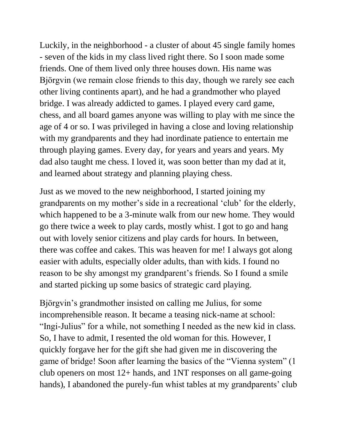Luckily, in the neighborhood - a cluster of about 45 single family homes - seven of the kids in my class lived right there. So I soon made some friends. One of them lived only three houses down. His name was Bjӧrgvin (we remain close friends to this day, though we rarely see each other living continents apart), and he had a grandmother who played bridge. I was already addicted to games. I played every card game, chess, and all board games anyone was willing to play with me since the age of 4 or so. I was privileged in having a close and loving relationship with my grandparents and they had inordinate patience to entertain me through playing games. Every day, for years and years and years. My dad also taught me chess. I loved it, was soon better than my dad at it, and learned about strategy and planning playing chess.

Just as we moved to the new neighborhood, I started joining my grandparents on my mother's side in a recreational 'club' for the elderly, which happened to be a 3-minute walk from our new home. They would go there twice a week to play cards, mostly whist. I got to go and hang out with lovely senior citizens and play cards for hours. In between, there was coffee and cakes. This was heaven for me! I always got along easier with adults, especially older adults, than with kids. I found no reason to be shy amongst my grandparent's friends. So I found a smile and started picking up some basics of strategic card playing.

Bjӧrgvin's grandmother insisted on calling me Julius, for some incomprehensible reason. It became a teasing nick-name at school: "Ingi-Julius" for a while, not something I needed as the new kid in class. So, I have to admit, I resented the old woman for this. However, I quickly forgave her for the gift she had given me in discovering the game of bridge! Soon after learning the basics of the "Vienna system" (1 club openers on most 12+ hands, and 1NT responses on all game-going hands), I abandoned the purely-fun whist tables at my grandparents' club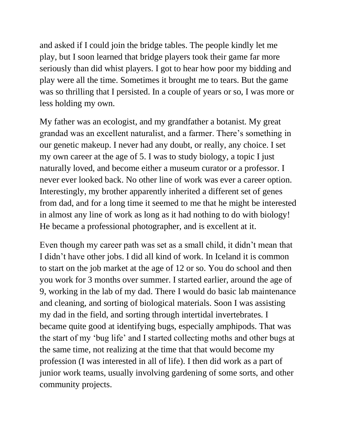and asked if I could join the bridge tables. The people kindly let me play, but I soon learned that bridge players took their game far more seriously than did whist players. I got to hear how poor my bidding and play were all the time. Sometimes it brought me to tears. But the game was so thrilling that I persisted. In a couple of years or so, I was more or less holding my own.

My father was an ecologist, and my grandfather a botanist. My great grandad was an excellent naturalist, and a farmer. There's something in our genetic makeup. I never had any doubt, or really, any choice. I set my own career at the age of 5. I was to study biology, a topic I just naturally loved, and become either a museum curator or a professor. I never ever looked back. No other line of work was ever a career option. Interestingly, my brother apparently inherited a different set of genes from dad, and for a long time it seemed to me that he might be interested in almost any line of work as long as it had nothing to do with biology! He became a professional photographer, and is excellent at it.

Even though my career path was set as a small child, it didn't mean that I didn't have other jobs. I did all kind of work. In Iceland it is common to start on the job market at the age of 12 or so. You do school and then you work for 3 months over summer. I started earlier, around the age of 9, working in the lab of my dad. There I would do basic lab maintenance and cleaning, and sorting of biological materials. Soon I was assisting my dad in the field, and sorting through intertidal invertebrates. I became quite good at identifying bugs, especially amphipods. That was the start of my 'bug life' and I started collecting moths and other bugs at the same time, not realizing at the time that that would become my profession (I was interested in all of life). I then did work as a part of junior work teams, usually involving gardening of some sorts, and other community projects.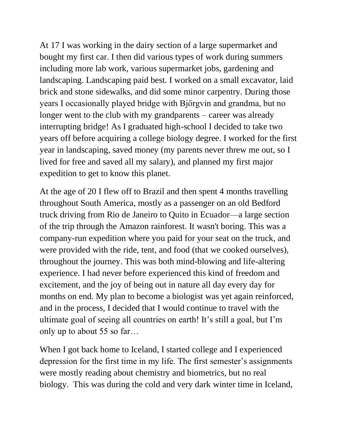At 17 I was working in the dairy section of a large supermarket and bought my first car. I then did various types of work during summers including more lab work, various supermarket jobs, gardening and landscaping. Landscaping paid best. I worked on a small excavator, laid brick and stone sidewalks, and did some minor carpentry. During those years I occasionally played bridge with Bjӧrgvin and grandma, but no longer went to the club with my grandparents – career was already interrupting bridge! As I graduated high-school I decided to take two years off before acquiring a college biology degree. I worked for the first year in landscaping, saved money (my parents never threw me out, so I lived for free and saved all my salary), and planned my first major expedition to get to know this planet.

At the age of 20 I flew off to Brazil and then spent 4 months travelling throughout South America, mostly as a passenger on an old Bedford truck driving from Rio de Janeiro to Quito in Ecuador—a large section of the trip through the Amazon rainforest. It wasn't boring. This was a company-run expedition where you paid for your seat on the truck, and were provided with the ride, tent, and food (that we cooked ourselves), throughout the journey. This was both mind-blowing and life-altering experience. I had never before experienced this kind of freedom and excitement, and the joy of being out in nature all day every day for months on end. My plan to become a biologist was yet again reinforced, and in the process, I decided that I would continue to travel with the ultimate goal of seeing all countries on earth! It's still a goal, but I'm only up to about 55 so far…

When I got back home to Iceland, I started college and I experienced depression for the first time in my life. The first semester's assignments were mostly reading about chemistry and biometrics, but no real biology. This was during the cold and very dark winter time in Iceland,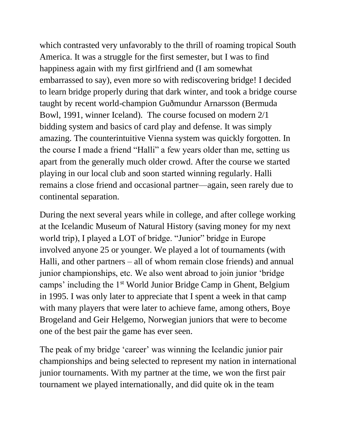which contrasted very unfavorably to the thrill of roaming tropical South America. It was a struggle for the first semester, but I was to find happiness again with my first girlfriend and (I am somewhat embarrassed to say), even more so with rediscovering bridge! I decided to learn bridge properly during that dark winter, and took a bridge course taught by recent world-champion Guðmundur Arnarsson (Bermuda Bowl, 1991, winner Iceland). The course focused on modern 2/1 bidding system and basics of card play and defense. It was simply amazing. The counterintuitive Vienna system was quickly forgotten. In the course I made a friend "Halli" a few years older than me, setting us apart from the generally much older crowd. After the course we started playing in our local club and soon started winning regularly. Halli remains a close friend and occasional partner—again, seen rarely due to continental separation.

During the next several years while in college, and after college working at the Icelandic Museum of Natural History (saving money for my next world trip), I played a LOT of bridge. "Junior" bridge in Europe involved anyone 25 or younger. We played a lot of tournaments (with Halli, and other partners – all of whom remain close friends) and annual junior championships, etc. We also went abroad to join junior 'bridge camps' including the 1st World Junior Bridge Camp in Ghent, Belgium in 1995. I was only later to appreciate that I spent a week in that camp with many players that were later to achieve fame, among others, Boye Brogeland and Geir Helgemo, Norwegian juniors that were to become one of the best pair the game has ever seen.

The peak of my bridge 'career' was winning the Icelandic junior pair championships and being selected to represent my nation in international junior tournaments. With my partner at the time, we won the first pair tournament we played internationally, and did quite ok in the team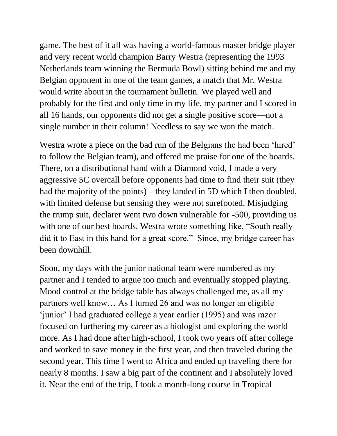game. The best of it all was having a world-famous master bridge player and very recent world champion Barry Westra (representing the 1993 Netherlands team winning the Bermuda Bowl) sitting behind me and my Belgian opponent in one of the team games, a match that Mr. Westra would write about in the tournament bulletin. We played well and probably for the first and only time in my life, my partner and I scored in all 16 hands, our opponents did not get a single positive score—not a single number in their column! Needless to say we won the match.

Westra wrote a piece on the bad run of the Belgians (he had been 'hired' to follow the Belgian team), and offered me praise for one of the boards. There, on a distributional hand with a Diamond void, I made a very aggressive 5C overcall before opponents had time to find their suit (they had the majority of the points) – they landed in 5D which I then doubled, with limited defense but sensing they were not surefooted. Misjudging the trump suit, declarer went two down vulnerable for -500, providing us with one of our best boards. Westra wrote something like, "South really did it to East in this hand for a great score." Since, my bridge career has been downhill.

Soon, my days with the junior national team were numbered as my partner and I tended to argue too much and eventually stopped playing. Mood control at the bridge table has always challenged me, as all my partners well know… As I turned 26 and was no longer an eligible 'junior' I had graduated college a year earlier (1995) and was razor focused on furthering my career as a biologist and exploring the world more. As I had done after high-school, I took two years off after college and worked to save money in the first year, and then traveled during the second year. This time I went to Africa and ended up traveling there for nearly 8 months. I saw a big part of the continent and I absolutely loved it. Near the end of the trip, I took a month-long course in Tropical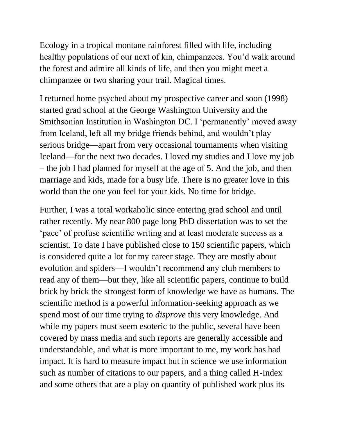Ecology in a tropical montane rainforest filled with life, including healthy populations of our next of kin, chimpanzees. You'd walk around the forest and admire all kinds of life, and then you might meet a chimpanzee or two sharing your trail. Magical times.

I returned home psyched about my prospective career and soon (1998) started grad school at the George Washington University and the Smithsonian Institution in Washington DC. I 'permanently' moved away from Iceland, left all my bridge friends behind, and wouldn't play serious bridge—apart from very occasional tournaments when visiting Iceland—for the next two decades. I loved my studies and I love my job – the job I had planned for myself at the age of 5. And the job, and then marriage and kids, made for a busy life. There is no greater love in this world than the one you feel for your kids. No time for bridge.

Further, I was a total workaholic since entering grad school and until rather recently. My near 800 page long PhD dissertation was to set the 'pace' of profuse scientific writing and at least moderate success as a scientist. To date I have published close to 150 scientific papers, which is considered quite a lot for my career stage. They are mostly about evolution and spiders—I wouldn't recommend any club members to read any of them—but they, like all scientific papers, continue to build brick by brick the strongest form of knowledge we have as humans. The scientific method is a powerful information-seeking approach as we spend most of our time trying to *disprove* this very knowledge. And while my papers must seem esoteric to the public, several have been covered by mass media and such reports are generally accessible and understandable, and what is more important to me, my work has had impact. It is hard to measure impact but in science we use information such as number of citations to our papers, and a thing called H-Index and some others that are a play on quantity of published work plus its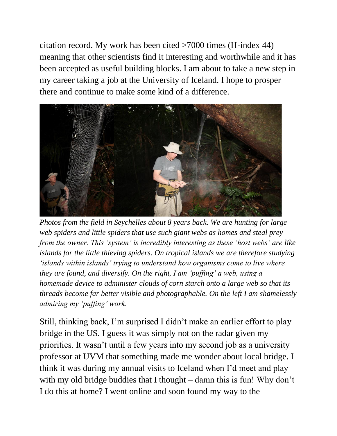citation record. My work has been cited >7000 times (H-index 44) meaning that other scientists find it interesting and worthwhile and it has been accepted as useful building blocks. I am about to take a new step in my career taking a job at the University of Iceland. I hope to prosper there and continue to make some kind of a difference.



*Photos from the field in Seychelles about 8 years back. We are hunting for large web spiders and little spiders that use such giant webs as homes and steal prey from the owner. This 'system' is incredibly interesting as these 'host webs' are like islands for the little thieving spiders. On tropical islands we are therefore studying 'islands within islands' trying to understand how organisms come to live where they are found, and diversify. On the right, I am 'puffing' a web, using a homemade device to administer clouds of corn starch onto a large web so that its threads become far better visible and photographable. On the left I am shamelessly admiring my 'puffing' work.*

Still, thinking back, I'm surprised I didn't make an earlier effort to play bridge in the US. I guess it was simply not on the radar given my priorities. It wasn't until a few years into my second job as a university professor at UVM that something made me wonder about local bridge. I think it was during my annual visits to Iceland when I'd meet and play with my old bridge buddies that I thought – damn this is fun! Why don't I do this at home? I went online and soon found my way to the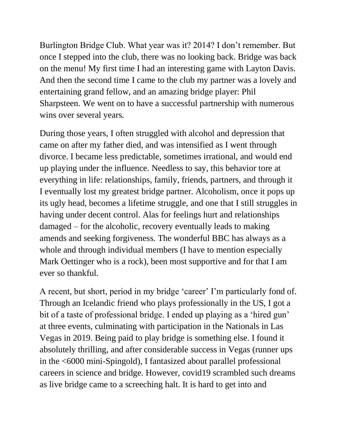Burlington Bridge Club. What year was it? 2014? I don't remember. But once I stepped into the club, there was no looking back. Bridge was back on the menu! My first time I had an interesting game with Layton Davis. And then the second time I came to the club my partner was a lovely and entertaining grand fellow, and an amazing bridge player: Phil Sharpsteen. We went on to have a successful partnership with numerous wins over several years.

During those years, I often struggled with alcohol and depression that came on after my father died, and was intensified as I went through divorce. I became less predictable, sometimes irrational, and would end up playing under the influence. Needless to say, this behavior tore at everything in life: relationships, family, friends, partners, and through it I eventually lost my greatest bridge partner. Alcoholism, once it pops up its ugly head, becomes a lifetime struggle, and one that I still struggles in having under decent control. Alas for feelings hurt and relationships damaged – for the alcoholic, recovery eventually leads to making amends and seeking forgiveness. The wonderful BBC has always as a whole and through individual members (I have to mention especially Mark Oettinger who is a rock), been most supportive and for that I am ever so thankful.

A recent, but short, period in my bridge 'career' I'm particularly fond of. Through an Icelandic friend who plays professionally in the US, I got a bit of a taste of professional bridge. I ended up playing as a 'hired gun' at three events, culminating with participation in the Nationals in Las Vegas in 2019. Being paid to play bridge is something else. I found it absolutely thrilling, and after considerable success in Vegas (runner ups in the <6000 mini-Spingold), I fantasized about parallel professional careers in science and bridge. However, covid19 scrambled such dreams as live bridge came to a screeching halt. It is hard to get into and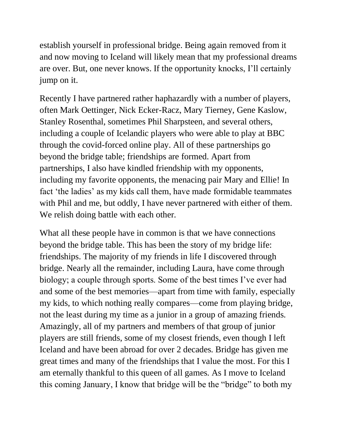establish yourself in professional bridge. Being again removed from it and now moving to Iceland will likely mean that my professional dreams are over. But, one never knows. If the opportunity knocks, I'll certainly jump on it.

Recently I have partnered rather haphazardly with a number of players, often Mark Oettinger, Nick Ecker-Racz, Mary Tierney, Gene Kaslow, Stanley Rosenthal, sometimes Phil Sharpsteen, and several others, including a couple of Icelandic players who were able to play at BBC through the covid-forced online play. All of these partnerships go beyond the bridge table; friendships are formed. Apart from partnerships, I also have kindled friendship with my opponents, including my favorite opponents, the menacing pair Mary and Ellie! In fact 'the ladies' as my kids call them, have made formidable teammates with Phil and me, but oddly, I have never partnered with either of them. We relish doing battle with each other.

What all these people have in common is that we have connections beyond the bridge table. This has been the story of my bridge life: friendships. The majority of my friends in life I discovered through bridge. Nearly all the remainder, including Laura, have come through biology; a couple through sports. Some of the best times I've ever had and some of the best memories—apart from time with family, especially my kids, to which nothing really compares—come from playing bridge, not the least during my time as a junior in a group of amazing friends. Amazingly, all of my partners and members of that group of junior players are still friends, some of my closest friends, even though I left Iceland and have been abroad for over 2 decades. Bridge has given me great times and many of the friendships that I value the most. For this I am eternally thankful to this queen of all games. As I move to Iceland this coming January, I know that bridge will be the "bridge" to both my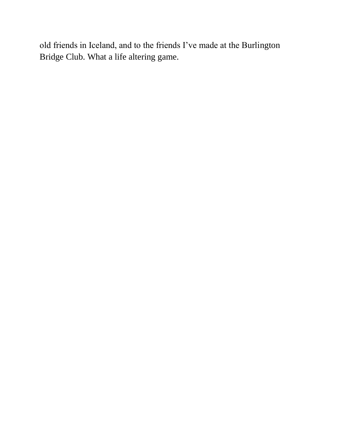old friends in Iceland, and to the friends I've made at the Burlington Bridge Club. What a life altering game.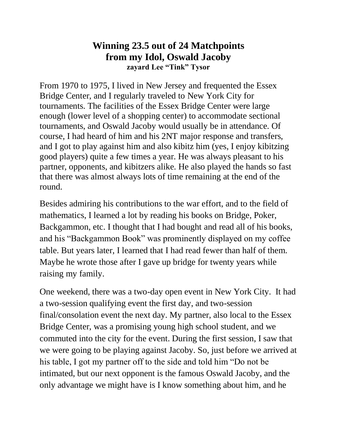### **Winning 23.5 out of 24 Matchpoints from my Idol, Oswald Jacoby zayard Lee "Tink" Tysor**

From 1970 to 1975, I lived in New Jersey and frequented the Essex Bridge Center, and I regularly traveled to New York City for tournaments. The facilities of the Essex Bridge Center were large enough (lower level of a shopping center) to accommodate sectional tournaments, and Oswald Jacoby would usually be in attendance. Of course, I had heard of him and his 2NT major response and transfers, and I got to play against him and also kibitz him (yes, I enjoy kibitzing good players) quite a few times a year. He was always pleasant to his partner, opponents, and kibitzers alike. He also played the hands so fast that there was almost always lots of time remaining at the end of the round.

Besides admiring his contributions to the war effort, and to the field of mathematics, I learned a lot by reading his books on Bridge, Poker, Backgammon, etc. I thought that I had bought and read all of his books, and his "Backgammon Book" was prominently displayed on my coffee table. But years later, I learned that I had read fewer than half of them. Maybe he wrote those after I gave up bridge for twenty years while raising my family.

One weekend, there was a two-day open event in New York City. It had a two-session qualifying event the first day, and two-session final/consolation event the next day. My partner, also local to the Essex Bridge Center, was a promising young high school student, and we commuted into the city for the event. During the first session, I saw that we were going to be playing against Jacoby. So, just before we arrived at his table, I got my partner off to the side and told him "Do not be intimated, but our next opponent is the famous Oswald Jacoby, and the only advantage we might have is I know something about him, and he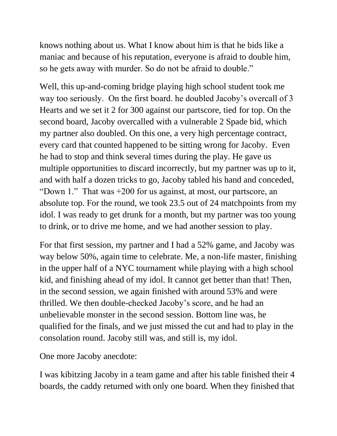knows nothing about us. What I know about him is that he bids like a maniac and because of his reputation, everyone is afraid to double him, so he gets away with murder. So do not be afraid to double."

Well, this up-and-coming bridge playing high school student took me way too seriously. On the first board. he doubled Jacoby's overcall of 3 Hearts and we set it 2 for 300 against our partscore, tied for top. On the second board, Jacoby overcalled with a vulnerable 2 Spade bid, which my partner also doubled. On this one, a very high percentage contract, every card that counted happened to be sitting wrong for Jacoby. Even he had to stop and think several times during the play. He gave us multiple opportunities to discard incorrectly, but my partner was up to it, and with half a dozen tricks to go, Jacoby tabled his hand and conceded, "Down 1." That was +200 for us against, at most, our partscore, an absolute top. For the round, we took 23.5 out of 24 matchpoints from my idol. I was ready to get drunk for a month, but my partner was too young to drink, or to drive me home, and we had another session to play.

For that first session, my partner and I had a 52% game, and Jacoby was way below 50%, again time to celebrate. Me, a non-life master, finishing in the upper half of a NYC tournament while playing with a high school kid, and finishing ahead of my idol. It cannot get better than that! Then, in the second session, we again finished with around 53% and were thrilled. We then double-checked Jacoby's score, and he had an unbelievable monster in the second session. Bottom line was, he qualified for the finals, and we just missed the cut and had to play in the consolation round. Jacoby still was, and still is, my idol.

One more Jacoby anecdote:

I was kibitzing Jacoby in a team game and after his table finished their 4 boards, the caddy returned with only one board. When they finished that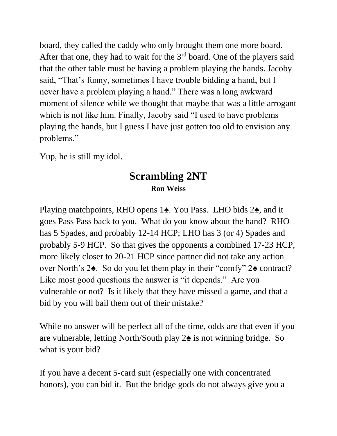board, they called the caddy who only brought them one more board. After that one, they had to wait for the  $3<sup>rd</sup>$  board. One of the players said that the other table must be having a problem playing the hands. Jacoby said, "That's funny, sometimes I have trouble bidding a hand, but I never have a problem playing a hand." There was a long awkward moment of silence while we thought that maybe that was a little arrogant which is not like him. Finally, Jacoby said "I used to have problems playing the hands, but I guess I have just gotten too old to envision any problems."

Yup, he is still my idol.

## **Scrambling 2NT Ron Weiss**

Playing matchpoints, RHO opens 1**♠**. You Pass. LHO bids 2**♠**, and it goes Pass Pass back to you. What do you know about the hand? RHO has 5 Spades, and probably 12-14 HCP; LHO has 3 (or 4) Spades and probably 5-9 HCP. So that gives the opponents a combined 17-23 HCP, more likely closer to 20-21 HCP since partner did not take any action over North's 2**♠**. So do you let them play in their "comfy" 2**♠** contract? Like most good questions the answer is "it depends." Are you vulnerable or not? Is it likely that they have missed a game, and that a bid by you will bail them out of their mistake?

While no answer will be perfect all of the time, odds are that even if you are vulnerable, letting North/South play 2**♠** is not winning bridge. So what is your bid?

If you have a decent 5-card suit (especially one with concentrated honors), you can bid it. But the bridge gods do not always give you a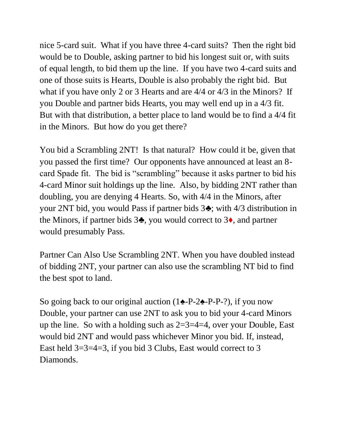nice 5-card suit. What if you have three 4-card suits? Then the right bid would be to Double, asking partner to bid his longest suit or, with suits of equal length, to bid them up the line. If you have two 4-card suits and one of those suits is Hearts, Double is also probably the right bid. But what if you have only 2 or 3 Hearts and are 4/4 or 4/3 in the Minors? If you Double and partner bids Hearts, you may well end up in a 4/3 fit. But with that distribution, a better place to land would be to find a 4/4 fit in the Minors. But how do you get there?

You bid a Scrambling 2NT! Is that natural? How could it be, given that you passed the first time? Our opponents have announced at least an 8 card Spade fit. The bid is "scrambling" because it asks partner to bid his 4-card Minor suit holdings up the line. Also, by bidding 2NT rather than doubling, you are denying 4 Hearts. So, with 4/4 in the Minors, after your 2NT bid, you would Pass if partner bids 3**♣**; with 4/3 distribution in the Minors, if partner bids 3**♣**, you would correct to 3**♦**, and partner would presumably Pass.

Partner Can Also Use Scrambling 2NT. When you have doubled instead of bidding 2NT, your partner can also use the scrambling NT bid to find the best spot to land.

So going back to our original auction (1**♠**-P-2**♠**-P-P-?), if you now Double, your partner can use 2NT to ask you to bid your 4-card Minors up the line. So with a holding such as  $2=3=4=4$ , over your Double, East would bid 2NT and would pass whichever Minor you bid. If, instead, East held 3=3=4=3, if you bid 3 Clubs, East would correct to 3 Diamonds.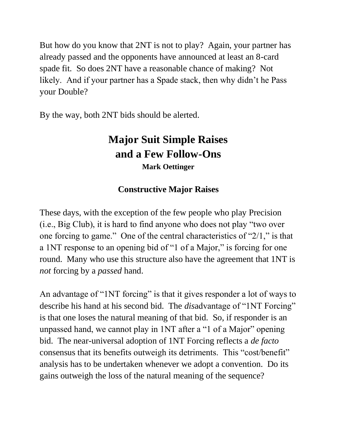But how do you know that 2NT is not to play? Again, your partner has already passed and the opponents have announced at least an 8-card spade fit. So does 2NT have a reasonable chance of making? Not likely. And if your partner has a Spade stack, then why didn't he Pass your Double?

By the way, both 2NT bids should be alerted.

# **Major Suit Simple Raises and a Few Follow-Ons Mark Oettinger**

## **Constructive Major Raises**

These days, with the exception of the few people who play Precision (i.e., Big Club), it is hard to find anyone who does not play "two over one forcing to game." One of the central characteristics of "2/1," is that a 1NT response to an opening bid of "1 of a Major," is forcing for one round. Many who use this structure also have the agreement that 1NT is *not* forcing by a *passed* hand.

An advantage of "1NT forcing" is that it gives responder a lot of ways to describe his hand at his second bid. The *dis*advantage of "1NT Forcing" is that one loses the natural meaning of that bid. So, if responder is an unpassed hand, we cannot play in 1NT after a "1 of a Major" opening bid. The near-universal adoption of 1NT Forcing reflects a *de facto* consensus that its benefits outweigh its detriments. This "cost/benefit" analysis has to be undertaken whenever we adopt a convention. Do its gains outweigh the loss of the natural meaning of the sequence?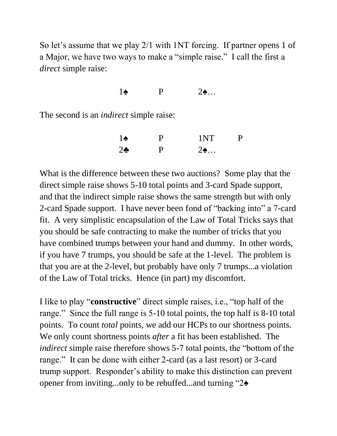So let's assume that we play 2/1 with 1NT forcing. If partner opens 1 of a Major, we have two ways to make a "simple raise." I call the first a *direct* simple raise:

### 1♠ P 2♠…

The second is an *indirect* simple raise:

| $1\spadesuit$ | D | 1NT                 | D |
|---------------|---|---------------------|---|
| $2\bullet$    | D | $2\spadesuit \dots$ |   |

What is the difference between these two auctions? Some play that the direct simple raise shows 5-10 total points and 3-card Spade support, and that the indirect simple raise shows the same strength but with only 2-card Spade support. I have never been fond of "backing into" a 7-card fit. A very simplistic encapsulation of the Law of Total Tricks says that you should be safe contracting to make the number of tricks that you have combined trumps between your hand and dummy. In other words, if you have 7 trumps, you should be safe at the 1-level. The problem is that you are at the 2-level, but probably have only 7 trumps...a violation of the Law of Total tricks. Hence (in part) my discomfort.

I like to play "**constructive**" direct simple raises, i.e., "top half of the range." Since the full range is 5-10 total points, the top half is 8-10 total points. To count *total* points, we add our HCPs to our shortness points. We only count shortness points *after* a fit has been established. The *indirect* simple raise therefore shows 5-7 total points, the "bottom of the range." It can be done with either 2-card (as a last resort) or 3-card trump support. Responder's ability to make this distinction can prevent opener from inviting...only to be rebuffed...and turning "2♠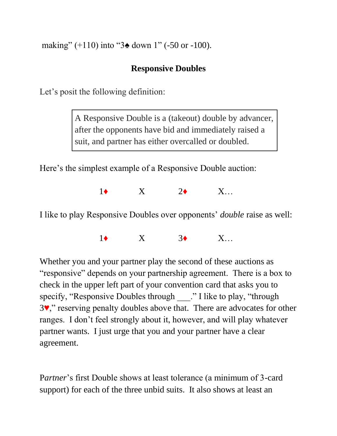making" (+110) into "3 $\triangle$  down 1" (-50 or -100).

### **Responsive Doubles**

Let's posit the following definition:

A Responsive Double is a (takeout) double by advancer, after the opponents have bid and immediately raised a suit, and partner has either overcalled or doubled.

Here's the simplest example of a Responsive Double auction:

1♦ X 2♦ X…

I like to play Responsive Doubles over opponents' *double* raise as well:

 $1\bullet$   $X$   $3\bullet$   $X_{\cdots}$ 

Whether you and your partner play the second of these auctions as "responsive" depends on your partnership agreement. There is a box to check in the upper left part of your convention card that asks you to specify, "Responsive Doubles through ..." I like to play, "through 3♥," reserving penalty doubles above that. There are advocates for other ranges. I don't feel strongly about it, however, and will play whatever partner wants. I just urge that you and your partner have a clear agreement.

P*artner*'s first Double shows at least tolerance (a minimum of 3-card support) for each of the three unbid suits. It also shows at least an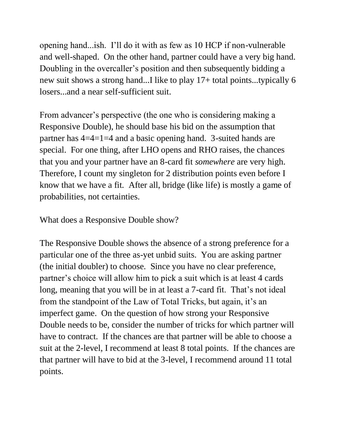opening hand...ish. I'll do it with as few as 10 HCP if non-vulnerable and well-shaped. On the other hand, partner could have a very big hand. Doubling in the overcaller's position and then subsequently bidding a new suit shows a strong hand...I like to play 17+ total points...typically 6 losers...and a near self-sufficient suit.

From advancer's perspective (the one who is considering making a Responsive Double), he should base his bid on the assumption that partner has 4=4=1=4 and a basic opening hand. 3-suited hands are special. For one thing, after LHO opens and RHO raises, the chances that you and your partner have an 8-card fit *somewhere* are very high. Therefore, I count my singleton for 2 distribution points even before I know that we have a fit. After all, bridge (like life) is mostly a game of probabilities, not certainties.

What does a Responsive Double show?

The Responsive Double shows the absence of a strong preference for a particular one of the three as-yet unbid suits. You are asking partner (the initial doubler) to choose. Since you have no clear preference, partner's choice will allow him to pick a suit which is at least 4 cards long, meaning that you will be in at least a 7-card fit. That's not ideal from the standpoint of the Law of Total Tricks, but again, it's an imperfect game. On the question of how strong your Responsive Double needs to be, consider the number of tricks for which partner will have to contract. If the chances are that partner will be able to choose a suit at the 2-level, I recommend at least 8 total points. If the chances are that partner will have to bid at the 3-level, I recommend around 11 total points.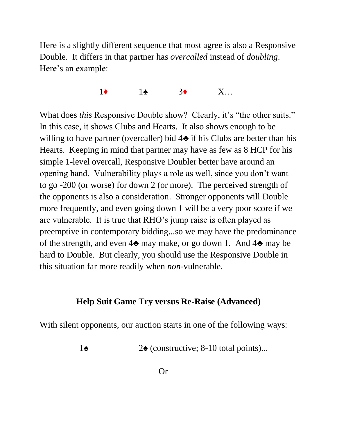Here is a slightly different sequence that most agree is also a Responsive Double. It differs in that partner has *overcalled* instead of *doubling*. Here's an example:

 $1\bullet$   $1\bullet$   $3\bullet$   $X_{\cdots}$ 

What does *this* Responsive Double show? Clearly, it's "the other suits." In this case, it shows Clubs and Hearts. It also shows enough to be willing to have partner (overcaller) bid  $4\bullet$  if his Clubs are better than his Hearts. Keeping in mind that partner may have as few as 8 HCP for his simple 1-level overcall, Responsive Doubler better have around an opening hand. Vulnerability plays a role as well, since you don't want to go -200 (or worse) for down 2 (or more). The perceived strength of the opponents is also a consideration. Stronger opponents will Double more frequently, and even going down 1 will be a very poor score if we are vulnerable. It is true that RHO's jump raise is often played as preemptive in contemporary bidding...so we may have the predominance of the strength, and even 4♣ may make, or go down 1. And 4♣ may be hard to Double. But clearly, you should use the Responsive Double in this situation far more readily when *non*-vulnerable.

### **Help Suit Game Try versus Re-Raise (Advanced)**

With silent opponents, our auction starts in one of the following ways:

1**♠** 2**♠** (constructive; 8-10 total points)...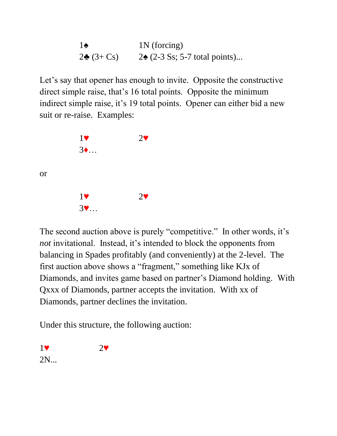$1\blacklozenge$  1N (forcing) 2 $\triangle$  (3+ Cs) 2 $\triangle$  (2-3 Ss; 5-7 total points)...

Let's say that opener has enough to invite. Opposite the constructive direct simple raise, that's 16 total points. Opposite the minimum indirect simple raise, it's 19 total points. Opener can either bid a new suit or re-raise. Examples:

| 1   | $2\blacktriangledown$ |
|-----|-----------------------|
| $3$ |                       |
|     |                       |
|     |                       |
| 1   | $2\blacktriangledown$ |
|     |                       |
| $3$ |                       |

The second auction above is purely "competitive." In other words, it's *not* invitational. Instead, it's intended to block the opponents from balancing in Spades profitably (and conveniently) at the 2-level. The first auction above shows a "fragment," something like KJx of Diamonds, and invites game based on partner's Diamond holding. With Qxxx of Diamonds, partner accepts the invitation. With xx of Diamonds, partner declines the invitation.

Under this structure, the following auction:

1♥ 2♥ 2N...

or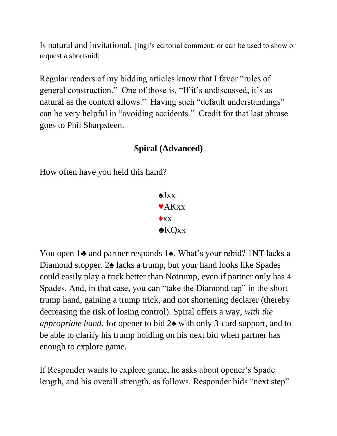Is natural and invitational. [Ingi's editorial comment: or can be used to show or request a shortsuid]

Regular readers of my bidding articles know that I favor "rules of general construction." One of those is, "If it's undiscussed, it's as natural as the context allows." Having such "default understandings" can be very helpful in "avoiding accidents." Credit for that last phrase goes to Phil Sharpsteen.

### **Spiral (Advanced)**

How often have you held this hand?

 $\triangle$ Ixx ♥AKxx  $\triangle$ xx ♣KQxx

You open 1♣ and partner responds 1♠. What's your rebid? 1NT lacks a Diamond stopper. 2♠ lacks a trump, but your hand looks like Spades could easily play a trick better than Notrump, even if partner only has 4 Spades. And, in that case, you can "take the Diamond tap" in the short trump hand, gaining a trump trick, and not shortening declarer (thereby decreasing the risk of losing control). Spiral offers a way, *with the appropriate hand*, for opener to bid 2♠ with only 3-card support, and to be able to clarify his trump holding on his next bid when partner has enough to explore game.

If Responder wants to explore game, he asks about opener's Spade length, and his overall strength, as follows. Responder bids "next step"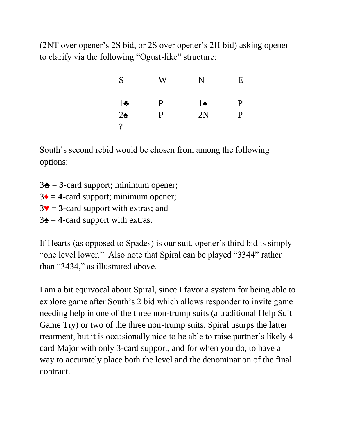(2NT over opener's 2S bid, or 2S over opener's 2H bid) asking opener to clarify via the following "Ogust-like" structure:

| S             | W | N             | Ε           |
|---------------|---|---------------|-------------|
| $1\bullet$    | P | $1\spadesuit$ | $\mathbf P$ |
| $2\spadesuit$ | P | 2N            | P           |
| ?             |   |               |             |

South's second rebid would be chosen from among the following options:

 $3\blacktriangle = 3$ -card support; minimum opener;  $3\blacklozenge = 4$ -card support; minimum opener;  $3\blacktriangledown$  = **3**-card support with extras; and  $3\blacktriangle = 4$ -card support with extras.

If Hearts (as opposed to Spades) is our suit, opener's third bid is simply "one level lower." Also note that Spiral can be played "3344" rather than "3434," as illustrated above.

I am a bit equivocal about Spiral, since I favor a system for being able to explore game after South's 2 bid which allows responder to invite game needing help in one of the three non-trump suits (a traditional Help Suit Game Try) or two of the three non-trump suits. Spiral usurps the latter treatment, but it is occasionally nice to be able to raise partner's likely 4 card Major with only 3-card support, and for when you do, to have a way to accurately place both the level and the denomination of the final contract.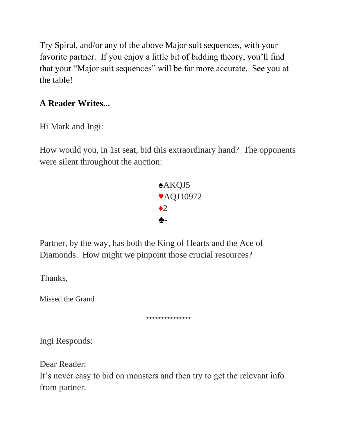Try Spiral, and/or any of the above Major suit sequences, with your favorite partner. If you enjoy a little bit of bidding theory, you'll find that your "Major suit sequences" will be far more accurate. See you at the table!

## **A Reader Writes...**

Hi Mark and Ingi:

How would you, in 1st seat, bid this extraordinary hand? The opponents were silent throughout the auction:



Partner, by the way, has both the King of Hearts and the Ace of Diamonds. How might we pinpoint those crucial resources?

Thanks,

Missed the Grand

\*\*\*\*\*\*\*\*\*\*\*\*\*\*\*

Ingi Responds:

Dear Reader:

It's never easy to bid on monsters and then try to get the relevant info from partner.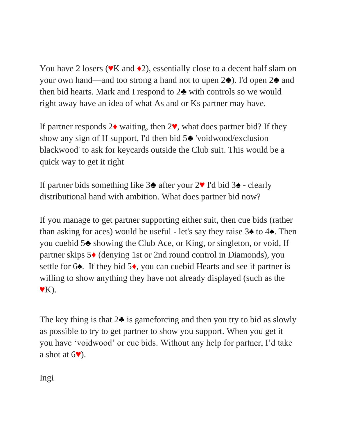You have 2 losers ( $\mathbf{v}$ K and  $\mathbf{v}$ ), essentially close to a decent half slam on your own hand—and too strong a hand not to upen 2♣). I'd open 2♣ and then bid hearts. Mark and I respond to 2♣ with controls so we would right away have an idea of what As and or Ks partner may have.

If partner responds  $2\bullet$  waiting, then  $2\bullet$ , what does partner bid? If they show any sign of H support, I'd then bid 5♣ 'voidwood/exclusion blackwood' to ask for keycards outside the Club suit. This would be a quick way to get it right

If partner bids something like 3♣ after your 2♥ I'd bid 3♠ - clearly distributional hand with ambition. What does partner bid now?

If you manage to get partner supporting either suit, then cue bids (rather than asking for aces) would be useful - let's say they raise 3♠ to 4♠. Then you cuebid 5♣ showing the Club Ace, or King, or singleton, or void, If partner skips 5♦ (denying 1st or 2nd round control in Diamonds), you settle for 6<sup> $\triangle$ </sup>. If they bid 5<sup> $\triangle$ </sup>, you can cuebid Hearts and see if partner is willing to show anything they have not already displayed (such as the  $\mathbf{Y}$ K).

The key thing is that  $2\blacktriangle$  is gameforcing and then you try to bid as slowly as possible to try to get partner to show you support. When you get it you have 'voidwood' or cue bids. Without any help for partner, I'd take a shot at  $6\degree$ ).

Ingi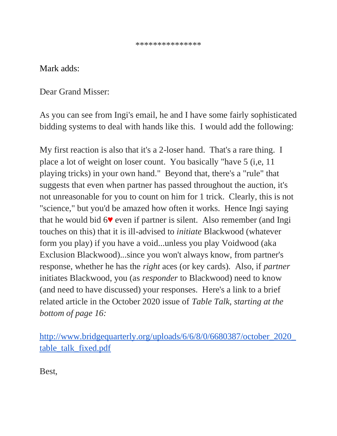### Mark adds:

Dear Grand Misser:

As you can see from Ingi's email, he and I have some fairly sophisticated bidding systems to deal with hands like this. I would add the following:

My first reaction is also that it's a 2-loser hand. That's a rare thing. I place a lot of weight on loser count. You basically "have 5 (i,e, 11 playing tricks) in your own hand." Beyond that, there's a "rule" that suggests that even when partner has passed throughout the auction, it's not unreasonable for you to count on him for 1 trick. Clearly, this is not "science," but you'd be amazed how often it works. Hence Ingi saying that he would bid 6♥ even if partner is silent. Also remember (and Ingi touches on this) that it is ill-advised to *initiate* Blackwood (whatever form you play) if you have a void...unless you play Voidwood (aka Exclusion Blackwood)...since you won't always know, from partner's response, whether he has the *right* aces (or key cards). Also, if *partner* initiates Blackwood, you (as *responder* to Blackwood) need to know (and need to have discussed) your responses. Here's a link to a brief related article in the October 2020 issue of *Table Talk, starting at the bottom of page 16:*

[http://www.bridgequarterly.org/uploads/6/6/8/0/6680387/october\\_2020\\_](http://www.bridgequarterly.org/uploads/6/6/8/0/6680387/october_2020_table_talk_fixed.pdf) [table\\_talk\\_fixed.pdf](http://www.bridgequarterly.org/uploads/6/6/8/0/6680387/october_2020_table_talk_fixed.pdf)

Best,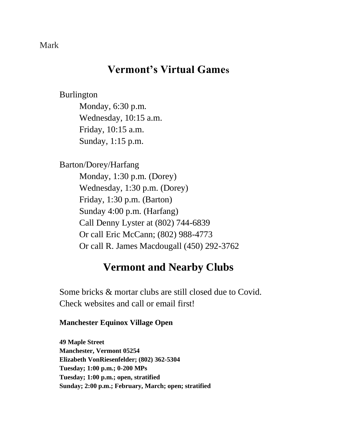### Mark

## **Vermont's Virtual Games**

Burlington Monday, 6:30 p.m. Wednesday, 10:15 a.m. Friday, 10:15 a.m. Sunday, 1:15 p.m.

Barton/Dorey/Harfang

Monday, 1:30 p.m. (Dorey) Wednesday, 1:30 p.m. (Dorey) Friday, 1:30 p.m. (Barton) Sunday 4:00 p.m. (Harfang) Call Denny Lyster at (802) 744-6839 Or call Eric McCann; (802) 988-4773 Or call R. James Macdougall (450) 292-3762

## **Vermont and Nearby Clubs**

Some bricks & mortar clubs are still closed due to Covid. Check websites and call or email first!

### **Manchester Equinox Village Open**

**49 Maple Street Manchester, Vermont 05254 Elizabeth VonRiesenfelder; (802) 362-5304 Tuesday; 1:00 p.m.; 0-200 MPs Tuesday; 1:00 p.m.; open, stratified Sunday; 2:00 p.m.; February, March; open; stratified**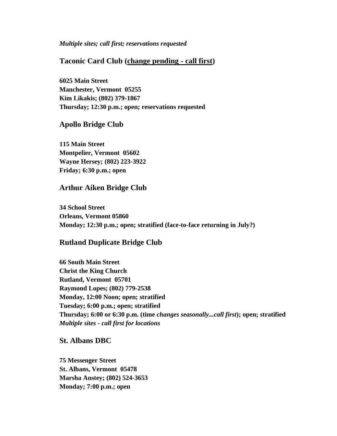#### *Multiple sites; call first; reservations requested*

### **Taconic Card Club (change pending - call first)**

**6025 Main Street Manchester, Vermont 05255 Kim Likakis; (802) 379-1867 Thursday; 12:30 p.m.; open; reservations requested**

#### **Apollo Bridge Club**

**115 Main Street Montpelier, Vermont 05602 Wayne Hersey; (802) 223-3922 Friday; 6:30 p.m.; open**

#### **Arthur Aiken Bridge Club**

**34 School Street Orleans, Vermont 05860 Monday; 12:30 p.m.; open; stratified (face-to-face returning in July?)**

### **Rutland Duplicate Bridge Club**

**66 South Main Street Christ the King Church Rutland, Vermont 05701 Raymond Lopes; (802) 779-2538 Monday, 12:00 Noon; open; stratified Tuesday; 6:00 p.m.; open; stratified Thursday; 6:00 or 6:30 p.m. (time** *changes seasonally...call first***); open; stratified** *Multiple sites - call first for locations*

#### **St. Albans DBC**

**75 Messenger Street St. Albans, Vermont 05478 Marsha Anstey; (802) 524-3653 Monday; 7:00 p.m.; open**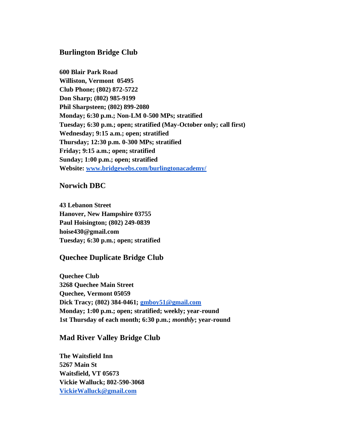### **Burlington Bridge Club**

**600 Blair Park Road Williston, Vermont 05495 Club Phone; (802) 872-5722 Don Sharp; (802) 985-9199 Phil Sharpsteen; (802) 899-2080 Monday; 6:30 p.m.; Non-LM 0-500 MPs; stratified Tuesday; 6:30 p.m.; open; stratified (May-October only; call first) Wednesday; 9:15 a.m.; open; stratified Thursday; 12:30 p.m. 0-300 MPs; stratified Friday; 9:15 a.m.; open; stratified Sunday; 1:00 p.m.; open; stratified Website: [www.bridgewebs.com/burlingtonacademy/](http://www.bridgewebs.com/burlingtonacademy/)**

#### **Norwich DBC**

**43 Lebanon Street Hanover, New Hampshire 03755 Paul Hoisington; (802) 249-0839 hoise430@gmail.com Tuesday; 6:30 p.m.; open; stratified**

#### **Quechee Duplicate Bridge Club**

**Quechee Club 3268 Quechee Main Street Quechee, Vermont 05059 Dick Tracy; (802) 384-0461; [gmboy51@gmail.com](mailto:gmboy51@gmail.com) Monday; 1:00 p.m.; open; stratified; weekly; year-round 1st Thursday of each month; 6:30 p.m.;** *monthly***; year-round**

#### **Mad River Valley Bridge Club**

**The Waitsfield Inn 5267 Main St Waitsfield, VT 05673 Vickie Walluck; 802-590-3068 [VickieWalluck@gmail.com](mailto:VickieWalluck@gmail.com)**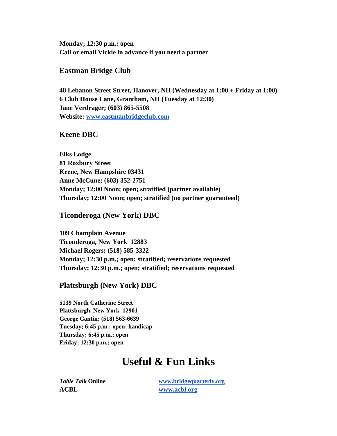**Monday; 12:30 p.m.; open Call or email Vickie in advance if you need a partner**

#### **Eastman Bridge Club**

**48 Lebanon Street Street, Hanover, NH (Wednesday at 1:00 + Friday at 1:00) 6 Club House Lane, Grantham, NH (Tuesday at 12:30) Jane Verdrager; (603) 865-5508 Website: [www.eastmanbridgeclub.com](http://www.eastmanbridgeclub.com/)**

#### **Keene DBC**

**Elks Lodge 81 Roxbury Street Keene, New Hampshire 03431 Anne McCune; (603) 352-2751 Monday; 12:00 Noon; open; stratified (partner available) Thursday; 12:00 Noon; open; stratified (no partner guaranteed)**

**Ticonderoga (New York) DBC**

**109 Champlain Avenue Ticonderoga, New York 12883 Michael Rogers; (518) 585-3322 Monday; 12:30 p.m.; open; stratified; reservations requested Thursday; 12:30 p.m.; open; stratified; reservations requested**

**Plattsburgh (New York) DBC**

**5139 North Catherine Street Plattsburgh, New York 12901 George Cantin; (518) 563-6639 Tuesday; 6:45 p.m.; open; handicap Thursday; 6:45 p.m.; open Friday; 12:30 p.m.; open**

## **Useful & Fun Links**

**ACBL [www.acbl.org](http://www.acbl.org/)**

*Table Talk* **Online [www.bridgequarterly.org](http://www.bridgequarterly.org/)**